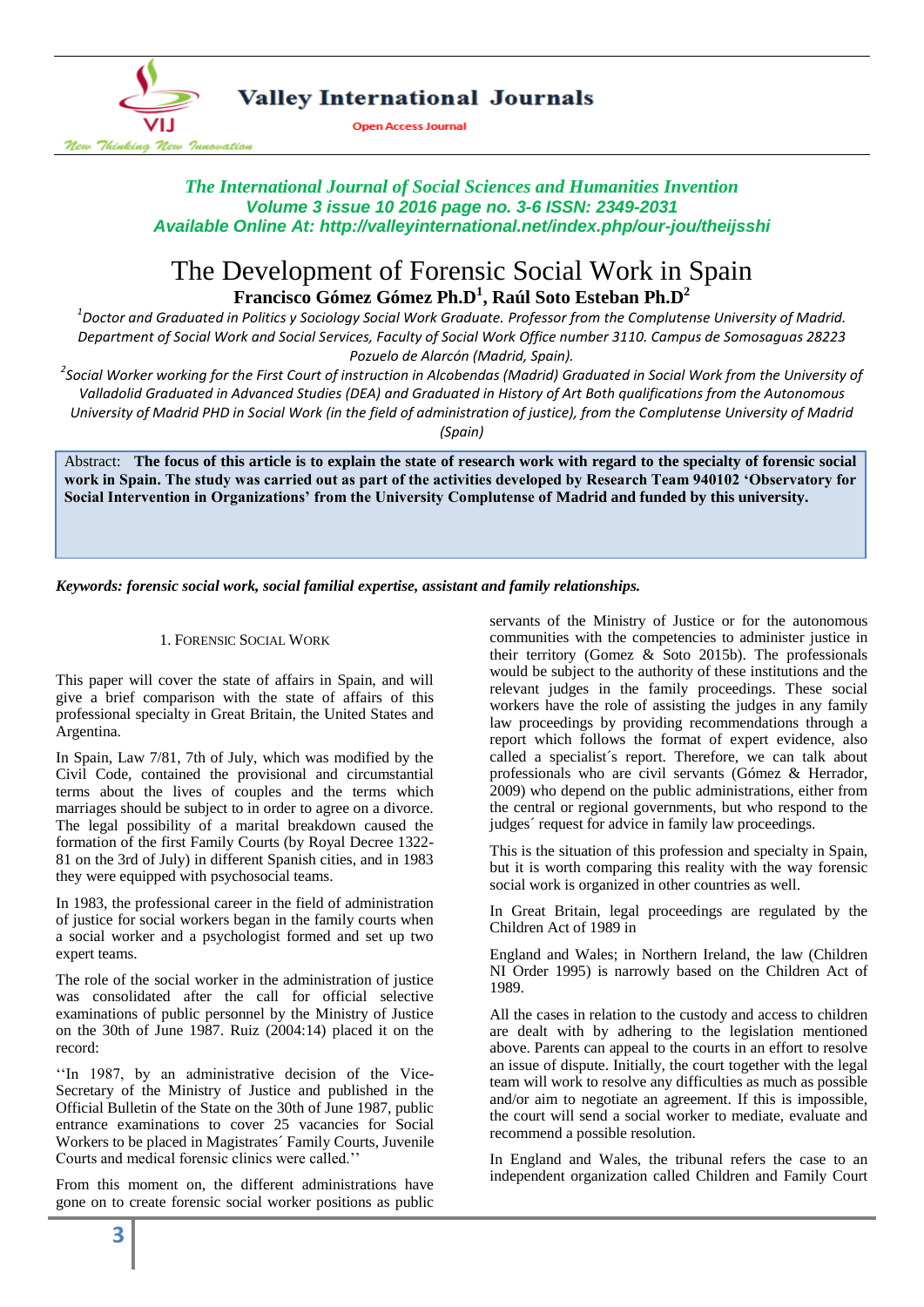

## **Valley International Journals**

**Open Access Journal** 

*The International Journal of Social Sciences and Humanities Invention Volume 3 issue 10 2016 page no. 3-6 ISSN: 2349-2031 Available Online At: http://valleyinternational.net/index.php/our-jou/theijsshi*

# The Development of Forensic Social Work in Spain **Francisco Gómez Gómez Ph.D<sup>1</sup> , Raúl Soto Esteban Ph.D<sup>2</sup>**

*1 Doctor and Graduated in Politics y Sociology Social Work Graduate. Professor from the Complutense University of Madrid. Department of Social Work and Social Services, Faculty of Social Work Office number 3110. Campus de Somosaguas 28223 Pozuelo de Alarcón (Madrid, Spain).* 

<sup>2</sup>Social Worker working for the First Court of instruction in Alcobendas (Madrid) Graduated in Social Work from the University of *Valladolid Graduated in Advanced Studies (DEA) and Graduated in History of Art Both qualifications from the Autonomous University of Madrid PHD in Social Work (in the field of administration of justice), from the Complutense University of Madrid (Spain)*

Abstract: **The focus of this article is to explain the state of research work with regard to the specialty of forensic social work in Spain. The study was carried out as part of the activities developed by Research Team 940102 'Observatory for Social Intervention in Organizations' from the University Complutense of Madrid and funded by this university.**

*Keywords: forensic social work, social familial expertise, assistant and family relationships.*

## 1. FORENSIC SOCIAL WORK

This paper will cover the state of affairs in Spain, and will give a brief comparison with the state of affairs of this professional specialty in Great Britain, the United States and Argentina.

In Spain, Law 7/81, 7th of July, which was modified by the Civil Code, contained the provisional and circumstantial terms about the lives of couples and the terms which marriages should be subject to in order to agree on a divorce. The legal possibility of a marital breakdown caused the formation of the first Family Courts (by Royal Decree 1322- 81 on the 3rd of July) in different Spanish cities, and in 1983 they were equipped with psychosocial teams.

In 1983, the professional career in the field of administration of justice for social workers began in the family courts when a social worker and a psychologist formed and set up two expert teams.

The role of the social worker in the administration of justice was consolidated after the call for official selective examinations of public personnel by the Ministry of Justice on the 30th of June 1987. Ruiz (2004:14) placed it on the record:

''In 1987, by an administrative decision of the Vice-Secretary of the Ministry of Justice and published in the Official Bulletin of the State on the 30th of June 1987, public entrance examinations to cover 25 vacancies for Social Workers to be placed in Magistrates´ Family Courts, Juvenile Courts and medical forensic clinics were called.''

From this moment on, the different administrations have gone on to create forensic social worker positions as public

servants of the Ministry of Justice or for the autonomous communities with the competencies to administer justice in their territory (Gomez  $\&$  Soto 2015b). The professionals would be subject to the authority of these institutions and the relevant judges in the family proceedings. These social workers have the role of assisting the judges in any family law proceedings by providing recommendations through a report which follows the format of expert evidence, also called a specialist´s report. Therefore, we can talk about professionals who are civil servants (Gómez & Herrador, 2009) who depend on the public administrations, either from the central or regional governments, but who respond to the judges´ request for advice in family law proceedings.

This is the situation of this profession and specialty in Spain, but it is worth comparing this reality with the way forensic social work is organized in other countries as well.

In Great Britain, legal proceedings are regulated by the Children Act of 1989 in

England and Wales; in Northern Ireland, the law (Children NI Order 1995) is narrowly based on the Children Act of 1989.

All the cases in relation to the custody and access to children are dealt with by adhering to the legislation mentioned above. Parents can appeal to the courts in an effort to resolve an issue of dispute. Initially, the court together with the legal team will work to resolve any difficulties as much as possible and/or aim to negotiate an agreement. If this is impossible, the court will send a social worker to mediate, evaluate and recommend a possible resolution.

In England and Wales, the tribunal refers the case to an independent organization called Children and Family Court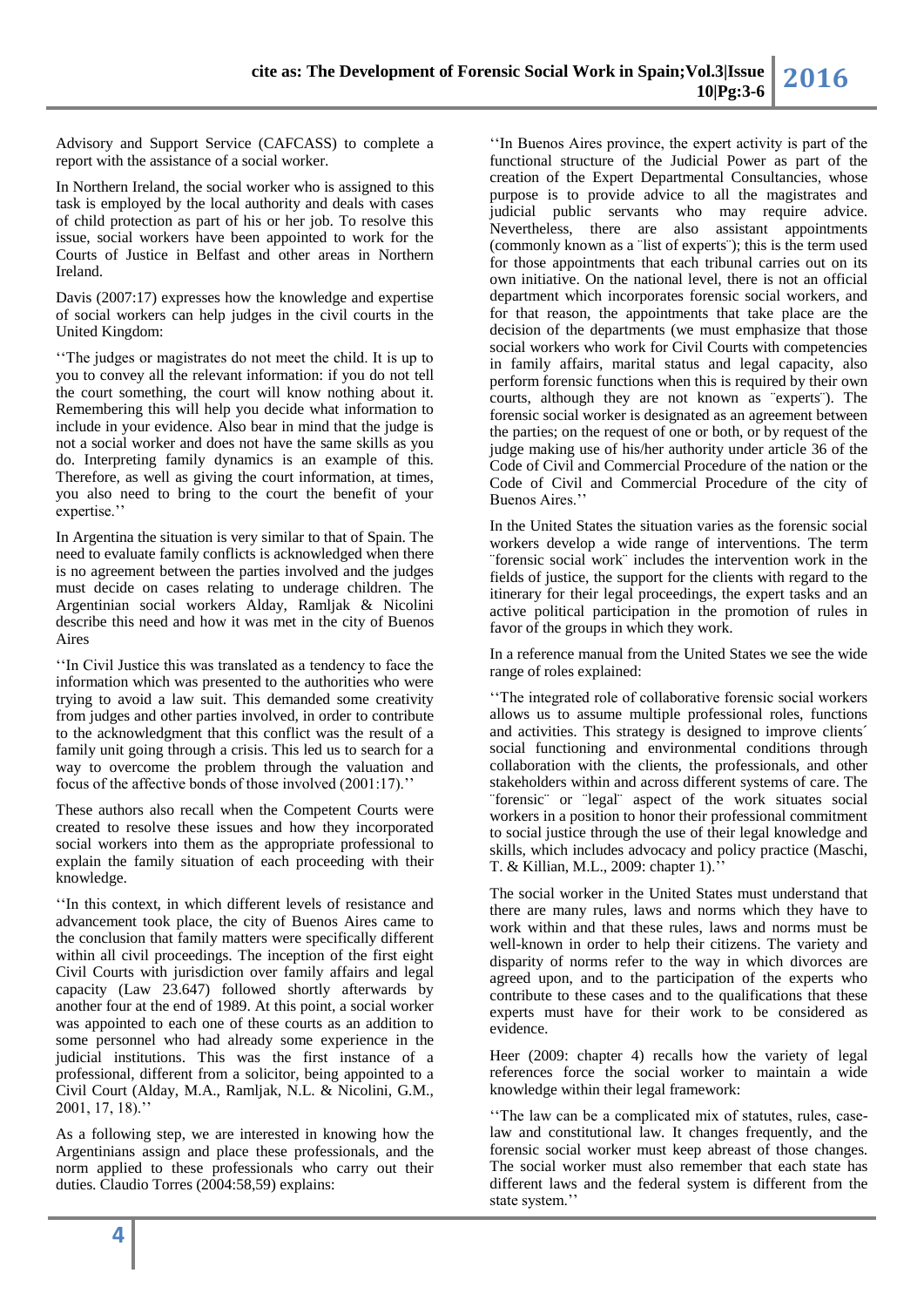Advisory and Support Service (CAFCASS) to complete a report with the assistance of a social worker.

In Northern Ireland, the social worker who is assigned to this task is employed by the local authority and deals with cases of child protection as part of his or her job. To resolve this issue, social workers have been appointed to work for the Courts of Justice in Belfast and other areas in Northern Ireland.

Davis (2007:17) expresses how the knowledge and expertise of social workers can help judges in the civil courts in the United Kingdom:

''The judges or magistrates do not meet the child. It is up to you to convey all the relevant information: if you do not tell the court something, the court will know nothing about it. Remembering this will help you decide what information to include in your evidence. Also bear in mind that the judge is not a social worker and does not have the same skills as you do. Interpreting family dynamics is an example of this. Therefore, as well as giving the court information, at times, you also need to bring to the court the benefit of your expertise."

In Argentina the situation is very similar to that of Spain. The need to evaluate family conflicts is acknowledged when there is no agreement between the parties involved and the judges must decide on cases relating to underage children. The Argentinian social workers Alday, Ramljak & Nicolini describe this need and how it was met in the city of Buenos Aires

''In Civil Justice this was translated as a tendency to face the information which was presented to the authorities who were trying to avoid a law suit. This demanded some creativity from judges and other parties involved, in order to contribute to the acknowledgment that this conflict was the result of a family unit going through a crisis. This led us to search for a way to overcome the problem through the valuation and focus of the affective bonds of those involved (2001:17).''

These authors also recall when the Competent Courts were created to resolve these issues and how they incorporated social workers into them as the appropriate professional to explain the family situation of each proceeding with their knowledge.

''In this context, in which different levels of resistance and advancement took place, the city of Buenos Aires came to the conclusion that family matters were specifically different within all civil proceedings. The inception of the first eight Civil Courts with jurisdiction over family affairs and legal capacity (Law 23.647) followed shortly afterwards by another four at the end of 1989. At this point, a social worker was appointed to each one of these courts as an addition to some personnel who had already some experience in the judicial institutions. This was the first instance of a professional, different from a solicitor, being appointed to a Civil Court (Alday, M.A., Ramljak, N.L. & Nicolini, G.M., 2001, 17, 18).''

As a following step, we are interested in knowing how the Argentinians assign and place these professionals, and the norm applied to these professionals who carry out their duties. Claudio Torres (2004:58,59) explains:

''In Buenos Aires province, the expert activity is part of the functional structure of the Judicial Power as part of the creation of the Expert Departmental Consultancies, whose purpose is to provide advice to all the magistrates and judicial public servants who may require advice. Nevertheless, there are also assistant appointments (commonly known as a ¨list of experts¨); this is the term used for those appointments that each tribunal carries out on its own initiative. On the national level, there is not an official department which incorporates forensic social workers, and for that reason, the appointments that take place are the decision of the departments (we must emphasize that those social workers who work for Civil Courts with competencies in family affairs, marital status and legal capacity, also perform forensic functions when this is required by their own courts, although they are not known as ¨experts¨). The forensic social worker is designated as an agreement between the parties; on the request of one or both, or by request of the judge making use of his/her authority under article 36 of the Code of Civil and Commercial Procedure of the nation or the Code of Civil and Commercial Procedure of the city of Buenos Aires.''

In the United States the situation varies as the forensic social workers develop a wide range of interventions. The term ¨forensic social work¨ includes the intervention work in the fields of justice, the support for the clients with regard to the itinerary for their legal proceedings, the expert tasks and an active political participation in the promotion of rules in favor of the groups in which they work.

In a reference manual from the United States we see the wide range of roles explained:

''The integrated role of collaborative forensic social workers allows us to assume multiple professional roles, functions and activities. This strategy is designed to improve clients´ social functioning and environmental conditions through collaboration with the clients, the professionals, and other stakeholders within and across different systems of care. The ¨forensic¨ or ¨legal¨ aspect of the work situates social workers in a position to honor their professional commitment to social justice through the use of their legal knowledge and skills, which includes advocacy and policy practice (Maschi, T. & Killian, M.L., 2009: chapter 1).''

The social worker in the United States must understand that there are many rules, laws and norms which they have to work within and that these rules, laws and norms must be well-known in order to help their citizens. The variety and disparity of norms refer to the way in which divorces are agreed upon, and to the participation of the experts who contribute to these cases and to the qualifications that these experts must have for their work to be considered as evidence.

Heer (2009: chapter 4) recalls how the variety of legal references force the social worker to maintain a wide knowledge within their legal framework:

''The law can be a complicated mix of statutes, rules, caselaw and constitutional law. It changes frequently, and the forensic social worker must keep abreast of those changes. The social worker must also remember that each state has different laws and the federal system is different from the state system.''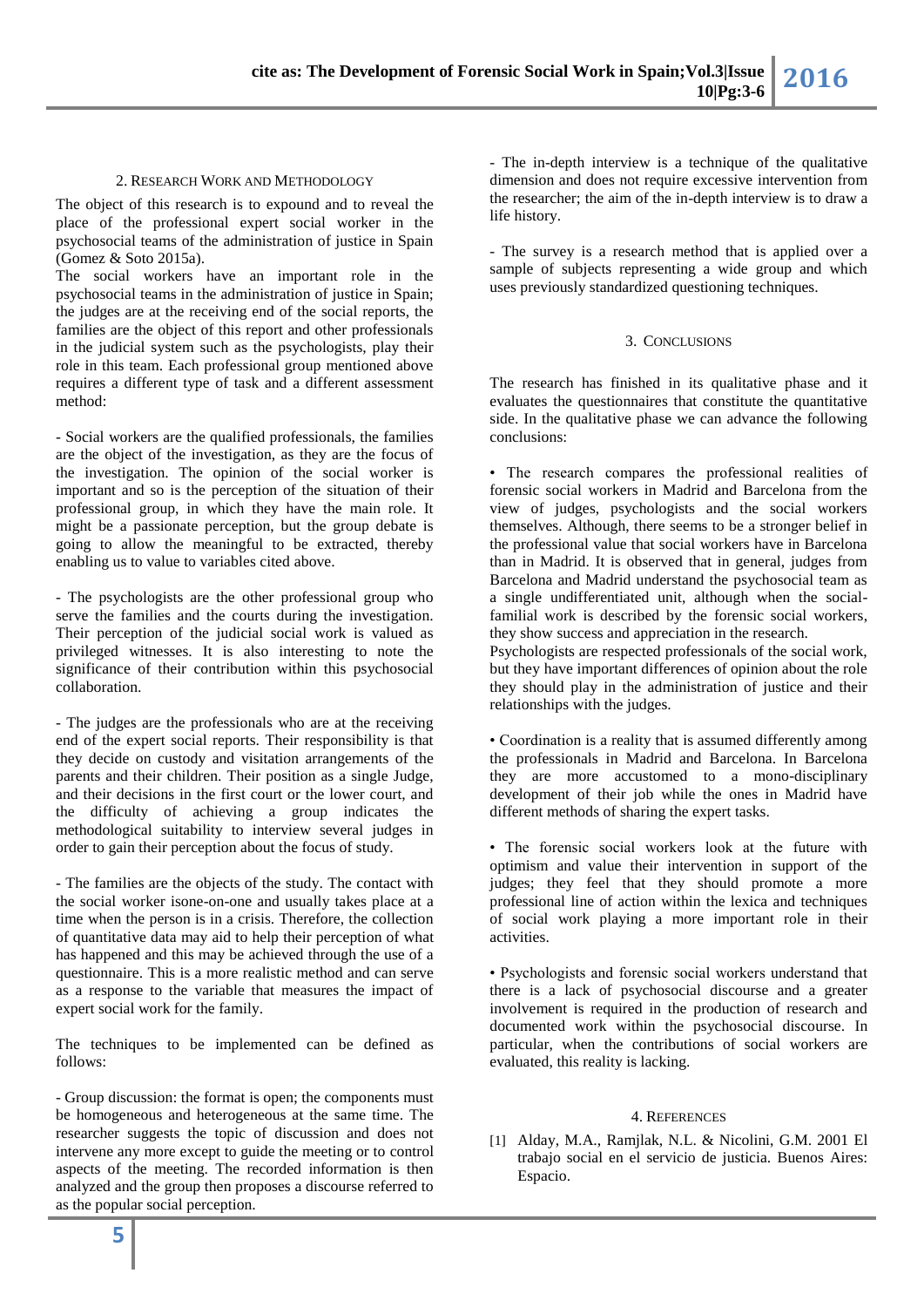The object of this research is to expound and to reveal the place of the professional expert social worker in the psychosocial teams of the administration of justice in Spain (Gomez & Soto 2015a).

The social workers have an important role in the psychosocial teams in the administration of justice in Spain; the judges are at the receiving end of the social reports, the families are the object of this report and other professionals in the judicial system such as the psychologists, play their role in this team. Each professional group mentioned above requires a different type of task and a different assessment method:

- Social workers are the qualified professionals, the families are the object of the investigation, as they are the focus of the investigation. The opinion of the social worker is important and so is the perception of the situation of their professional group, in which they have the main role. It might be a passionate perception, but the group debate is going to allow the meaningful to be extracted, thereby enabling us to value to variables cited above.

- The psychologists are the other professional group who serve the families and the courts during the investigation. Their perception of the judicial social work is valued as privileged witnesses. It is also interesting to note the significance of their contribution within this psychosocial collaboration.

- The judges are the professionals who are at the receiving end of the expert social reports. Their responsibility is that they decide on custody and visitation arrangements of the parents and their children. Their position as a single Judge, and their decisions in the first court or the lower court, and the difficulty of achieving a group indicates the methodological suitability to interview several judges in order to gain their perception about the focus of study.

- The families are the objects of the study. The contact with the social worker isone-on-one and usually takes place at a time when the person is in a crisis. Therefore, the collection of quantitative data may aid to help their perception of what has happened and this may be achieved through the use of a questionnaire. This is a more realistic method and can serve as a response to the variable that measures the impact of expert social work for the family.

The techniques to be implemented can be defined as follows:

- Group discussion: the format is open; the components must be homogeneous and heterogeneous at the same time. The researcher suggests the topic of discussion and does not intervene any more except to guide the meeting or to control aspects of the meeting. The recorded information is then analyzed and the group then proposes a discourse referred to as the popular social perception.

- The in-depth interview is a technique of the qualitative dimension and does not require excessive intervention from the researcher; the aim of the in-depth interview is to draw a life history.

- The survey is a research method that is applied over a sample of subjects representing a wide group and which uses previously standardized questioning techniques.

### 3. CONCLUSIONS

The research has finished in its qualitative phase and it evaluates the questionnaires that constitute the quantitative side. In the qualitative phase we can advance the following conclusions:

• The research compares the professional realities of forensic social workers in Madrid and Barcelona from the view of judges, psychologists and the social workers themselves. Although, there seems to be a stronger belief in the professional value that social workers have in Barcelona than in Madrid. It is observed that in general, judges from Barcelona and Madrid understand the psychosocial team as a single undifferentiated unit, although when the socialfamilial work is described by the forensic social workers, they show success and appreciation in the research.

Psychologists are respected professionals of the social work, but they have important differences of opinion about the role they should play in the administration of justice and their relationships with the judges.

• Coordination is a reality that is assumed differently among the professionals in Madrid and Barcelona. In Barcelona they are more accustomed to a mono-disciplinary development of their job while the ones in Madrid have different methods of sharing the expert tasks.

• The forensic social workers look at the future with optimism and value their intervention in support of the judges; they feel that they should promote a more professional line of action within the lexica and techniques of social work playing a more important role in their activities.

• Psychologists and forensic social workers understand that there is a lack of psychosocial discourse and a greater involvement is required in the production of research and documented work within the psychosocial discourse. In particular, when the contributions of social workers are evaluated, this reality is lacking.

### 4. REFERENCES

[1] Alday, M.A., Ramjlak, N.L. & Nicolini, G.M. 2001 El trabajo social en el servicio de justicia. Buenos Aires: Espacio.